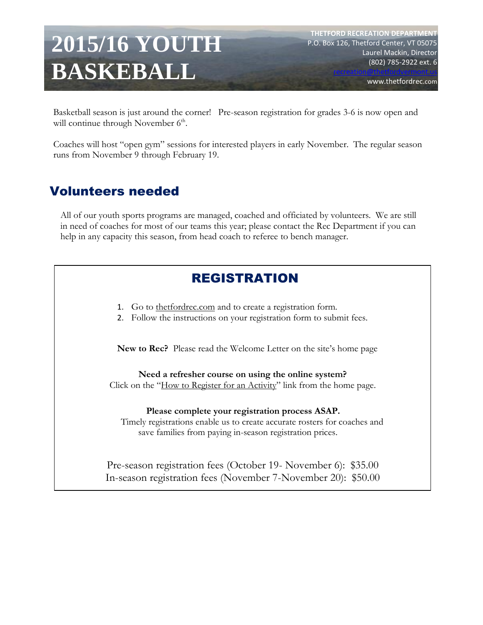# **2015/16 YOUTH BASKEBALL**

**THETFORD RECREATION DEPARTMENT** P.O. Box 126, Thetford Center, VT 05075 Laurel Mackin, Director (802) 785-2922 ext. 6

www.thetfordrec.com

[recreation@thetfordvermont.us](mailto:recreation@thetfordvermont.us)

Basketball season is just around the corner! Pre-season registration for grades 3-6 is now open and will continue through November  $6<sup>th</sup>$ .

Coaches will host "open gym" sessions for interested players in early November. The regular season runs from November 9 through February 19.

# Volunteers needed

All of our youth sports programs are managed, coached and officiated by volunteers. We are still in need of coaches for most of our teams this year; please contact the Rec Department if you can help in any capacity this season, from head coach to referee to bench manager.

# REGISTRATION

- 1. Go to thetfordrec.com and to create a registration form.
- 2. Follow the instructions on your registration form to submit fees.

**New to Rec?** Please read the Welcome Letter on the site's home page

**Need a refresher course on using the online system?**

Click on the "How to Register for an Activity" link from the home page.

**Please complete your registration process ASAP.** 

Timely registrations enable us to create accurate rosters for coaches and save families from paying in-season registration prices.

Pre-season registration fees (October 19- November 6): \$35.00 In-season registration fees (November 7-November 20): \$50.00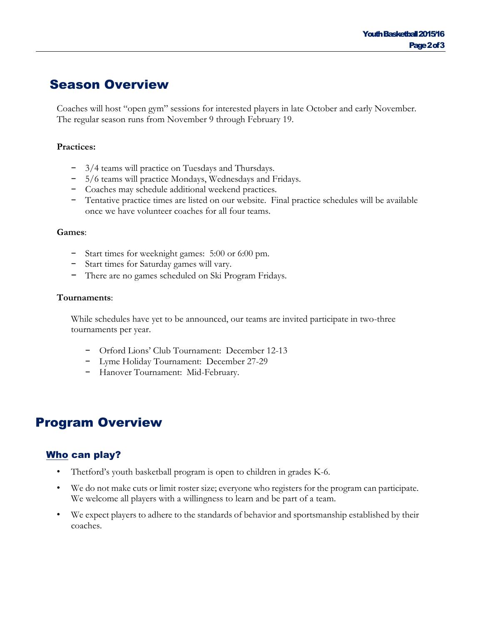## Season Overview

Coaches will host "open gym" sessions for interested players in late October and early November. The regular season runs from November 9 through February 19.

#### **Practices:**

- − 3/4 teams will practice on Tuesdays and Thursdays.
- − 5/6 teams will practice Mondays, Wednesdays and Fridays.
- − Coaches may schedule additional weekend practices.
- − Tentative practice times are listed on our website. Final practice schedules will be available once we have volunteer coaches for all four teams.

#### **Games**:

- − Start times for weeknight games: 5:00 or 6:00 pm.
- − Start times for Saturday games will vary.
- − There are no games scheduled on Ski Program Fridays.

#### **Tournaments**:

While schedules have yet to be announced, our teams are invited participate in two-three tournaments per year.

- − Orford Lions' Club Tournament: December 12-13
- − Lyme Holiday Tournament: December 27-29
- − Hanover Tournament: Mid-February.

## Program Overview

## Who can play?

- Thetford's youth basketball program is open to children in grades K-6.
- We do not make cuts or limit roster size; everyone who registers for the program can participate. We welcome all players with a willingness to learn and be part of a team.
- We expect players to adhere to the standards of behavior and sportsmanship established by their coaches.